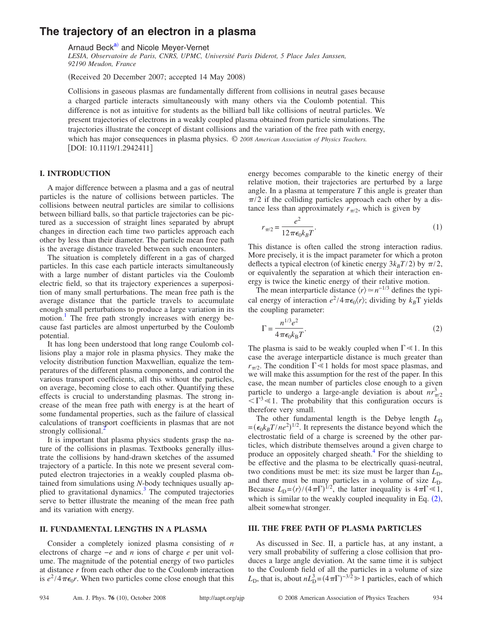# **The trajectory of an electron in a plasma**

Arnaud Beck<sup>a)</sup> and Nicole Meyer-Vernet

*LESIA, Observatoire de Paris, CNRS, UPMC, Université Paris Diderot, 5 Place Jules Janssen, 92190 Meudon, France*

(Received 20 December 2007; accepted 14 May 2008)

Collisions in gaseous plasmas are fundamentally different from collisions in neutral gases because a charged particle interacts simultaneously with many others via the Coulomb potential. This difference is not as intuitive for students as the billiard ball like collisions of neutral particles. We present trajectories of electrons in a weakly coupled plasma obtained from particle simulations. The trajectories illustrate the concept of distant collisions and the variation of the free path with energy, which has major consequences in plasma physics. © *2008 American Association of Physics Teachers.* [DOI: 10.1119/1.2942411]

# **I. INTRODUCTION**

A major difference between a plasma and a gas of neutral particles is the nature of collisions between particles. The collisions between neutral particles are similar to collisions between billiard balls, so that particle trajectories can be pictured as a succession of straight lines separated by abrupt changes in direction each time two particles approach each other by less than their diameter. The particle mean free path is the average distance traveled between such encounters.

The situation is completely different in a gas of charged particles. In this case each particle interacts simultaneously with a large number of distant particles via the Coulomb electric field, so that its trajectory experiences a superposition of many small perturbations. The mean free path is the average distance that the particle travels to accumulate enough small perturbations to produce a large variation in its motion.<sup>1</sup> The free path strongly increases with energy because fast particles are almost unperturbed by the Coulomb potential.

It has long been understood that long range Coulomb collisions play a major role in plasma physics. They make the velocity distribution function Maxwellian, equalize the temperatures of the different plasma components, and control the various transport coefficients, all this without the particles, on average, becoming close to each other. Quantifying these effects is crucial to understanding plasmas. The strong increase of the mean free path with energy is at the heart of some fundamental properties, such as the failure of classical calculations of transport coefficients in plasmas that are not strongly collisional.<sup>4</sup>

It is important that plasma physics students grasp the nature of the collisions in plasmas. Textbooks generally illustrate the collisions by hand-drawn sketches of the assumed trajectory of a particle. In this note we present several computed electron trajectories in a weakly coupled plasma obtained from simulations using *N*-body techniques usually applied to gravitational dynamics.<sup>3</sup> The computed trajectories serve to better illustrate the meaning of the mean free path and its variation with energy.

## **II. FUNDAMENTAL LENGTHS IN A PLASMA**

Consider a completely ionized plasma consisting of *n* electrons of charge −*e* and *n* ions of charge *e* per unit volume. The magnitude of the potential energy of two particles at distance *r* from each other due to the Coulomb interaction is  $e^2/4\pi\epsilon_0 r$ . When two particles come close enough that this

energy becomes comparable to the kinetic energy of their relative motion, their trajectories are perturbed by a large angle. In a plasma at temperature *T* this angle is greater than  $\pi/2$  if the colliding particles approach each other by a distance less than approximately  $r_{\pi/2}$ , which is given by

<span id="page-0-1"></span>
$$
r_{\pi/2} = \frac{e^2}{12\pi\epsilon_0 k_B T}.\tag{1}
$$

This distance is often called the strong interaction radius. More precisely, it is the impact parameter for which a proton deflects a typical electron (of kinetic energy  $3k_B T/2$ ) by  $\pi/2$ , or equivalently the separation at which their interaction energy is twice the kinetic energy of their relative motion.

The mean interparticle distance  $\langle r \rangle \simeq n^{-1/3}$  defines the typical energy of interaction  $e^2/4\pi\epsilon_0\langle r\rangle$ ; dividing by  $k_B T$  yields the coupling parameter:

<span id="page-0-0"></span>
$$
\Gamma = \frac{n^{1/3}e^2}{4\pi\epsilon_0 k_\text{B}T}.\tag{2}
$$

The plasma is said to be weakly coupled when  $\Gamma \ll 1$ . In this case the average interparticle distance is much greater than  $r_{\pi/2}$ . The condition  $\Gamma \ll 1$  holds for most space plasmas, and we will make this assumption for the rest of the paper. In this case, the mean number of particles close enough to a given particle to undergo a large-angle deviation is about  $nr_{\pi/2}^3$  $\langle \nabla^3 \ll 1$ . The probability that this configuration occurs is therefore very small.

The other fundamental length is the Debye length  $L_D$  $=(\epsilon_0 k_B T/ne^2)^{1/2}$ . It represents the distance beyond which the electrostatic field of a charge is screened by the other particles, which distribute themselves around a given charge to produce an oppositely charged sheath.<sup>4</sup> For the shielding to be effective and the plasma to be electrically quasi-neutral, two conditions must be met: its size must be larger than  $L<sub>D</sub>$ , and there must be many particles in a volume of size  $L<sub>D</sub>$ . Because  $L_D = \langle r \rangle / (4 \pi \Gamma)^{1/2}$ , the latter inequality is  $4 \pi \Gamma \ll 1$ , which is similar to the weakly coupled inequality in Eq.  $(2)$  $(2)$  $(2)$ , albeit somewhat stronger.

### **III. THE FREE PATH OF PLASMA PARTICLES**

As discussed in Sec. II, a particle has, at any instant, a very small probability of suffering a close collision that produces a large angle deviation. At the same time it is subject to the Coulomb field of all the particles in a volume of size  $L<sub>D</sub>$ , that is, about  $nL<sub>D</sub><sup>3</sup> = (4\pi\Gamma)^{-3/2} \ge 1$  particles, each of which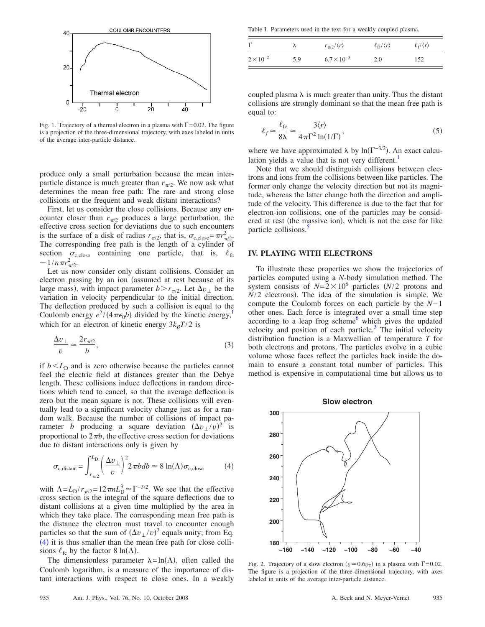<span id="page-1-1"></span>

Fig. 1. Trajectory of a thermal electron in a plasma with  $\Gamma = 0.02$ . The figure is a projection of the three-dimensional trajectory, with axes labeled in units of the average inter-particle distance.

produce only a small perturbation because the mean interparticle distance is much greater than  $r_{\pi/2}$ . We now ask what determines the mean free path: The rare and strong close collisions or the frequent and weak distant interactions?

First, let us consider the close collisions. Because any encounter closer than  $r_{\pi/2}$  produces a large perturbation, the effective cross section for deviations due to such encounters is the surface of a disk of radius  $r_{\pi/2}$ , that is,  $\sigma_{c,\text{close}} = \pi r_{\pi/2}^2$ . The corresponding free path is the length of a cylinder of section  $\sigma_{c, close}$  containing one particle, that is,  $\ell_{fc}$  $\sim 1/n \pi r_{\pi/2}^2$ .

Let us now consider only distant collisions. Consider an electron passing by an ion (assumed at rest because of its large mass), with impact parameter  $b > r_{\pi/2}$ . Let  $\Delta v_{\perp}$  be the variation in velocity perpendicular to the initial direction. The deflection produced by such a collision is equal to the Coulomb energy  $e^2/(4\pi\epsilon_0 b)$  divided by the kinetic energy,<sup>1</sup> which for an electron of kinetic energy  $3k_BT/2$  is

$$
\frac{\Delta v_{\perp}}{v} \simeq \frac{2r_{\pi/2}}{b},\tag{3}
$$

if  $b < L<sub>D</sub>$  and is zero otherwise because the particles cannot feel the electric field at distances greater than the Debye length. These collisions induce deflections in random directions which tend to cancel, so that the average deflection is zero but the mean square is not. These collisions will eventually lead to a significant velocity change just as for a random walk. Because the number of collisions of impact parameter *b* producing a square deviation  $(\Delta v_{\perp}/v)^2$  is proportional to  $2\pi b$ , the effective cross section for deviations due to distant interactions only is given by

<span id="page-1-0"></span>
$$
\sigma_{c,distant} = \int_{r_{\pi/2}}^{L_D} \left(\frac{\Delta v_{\perp}}{v}\right)^2 2 \pi b db \approx 8 \ln(\Lambda) \sigma_{c, close}
$$
 (4)

with  $\Lambda = L_D / r_{\pi/2} = 12 \pi n L_D^3 \approx \Gamma^{-3/2}$ . We see that the effective cross section is the integral of the square deflections due to distant collisions at a given time multiplied by the area in which they take place. The corresponding mean free path is the distance the electron must travel to encounter enough particles so that the sum of  $(\Delta v_{\perp}/v)^2$  equals unity; from Eq.  $(4)$  $(4)$  $(4)$  it is thus smaller than the mean free path for close collisions  $\ell_{\text{fc}}$  by the factor 8 ln( $\Lambda$ ).

The dimensionless parameter  $\lambda = \ln(\Lambda)$ , often called the Coulomb logarithm, is a measure of the importance of distant interactions with respect to close ones. In a weakly

<span id="page-1-2"></span>Table I. Parameters used in the text for a weakly coupled plasma.

| $\Gamma$           |     | $r_{\pi/2}/\langle r \rangle$ | $\ell_{\rm D}/\langle r \rangle$ | $\ell_{\rm f} / \langle r \rangle$ |
|--------------------|-----|-------------------------------|----------------------------------|------------------------------------|
| $2 \times 10^{-2}$ | 5.9 | $6.7 \times 10^{-3}$          | 2.0                              | 152                                |

coupled plasma  $\lambda$  is much greater than unity. Thus the distant collisions are strongly dominant so that the mean free path is equal to:

<span id="page-1-4"></span>
$$
\ell_f \simeq \frac{\ell_{\text{fc}}}{8\lambda} \simeq \frac{3\langle r\rangle}{4\pi\Gamma^2 \ln(1/\Gamma)},\tag{5}
$$

where we have approximated  $\lambda$  by ln( $\Gamma^{-3/2}$ ). An exact calculation yields a value that is not very different.<sup>1</sup>

Note that we should distinguish collisions between electrons and ions from the collisions between like particles. The former only change the velocity direction but not its magnitude, whereas the latter change both the direction and amplitude of the velocity. This difference is due to the fact that for electron-ion collisions, one of the particles may be considered at rest (the massive ion), which is not the case for like particle collisions.<sup>5</sup>

### **IV. PLAYING WITH ELECTRONS**

To illustrate these properties we show the trajectories of particles computed using a *N*-body simulation method. The system consists of  $N=2\times10^6$  particles *(N/2* protons and  $N/2$  electrons). The idea of the simulation is simple. We compute the Coulomb forces on each particle by the *N*− 1 other ones. Each force is integrated over a small time step according to a leap frog scheme $<sup>6</sup>$  which gives the updated</sup> velocity and position of each particle.<sup>3</sup> The initial velocity distribution function is a Maxwellian of temperature *T* for both electrons and protons. The particles evolve in a cubic volume whose faces reflect the particles back inside the domain to ensure a constant total number of particles. This method is expensive in computational time but allows us to

<span id="page-1-3"></span>

Fig. 2. Trajectory of a slow electron  $(v \approx 0.6v_T)$  in a plasma with  $\Gamma = 0.02$ . The figure is a projection of the three-dimensional trajectory, with axes labeled in units of the average inter-particle distance.